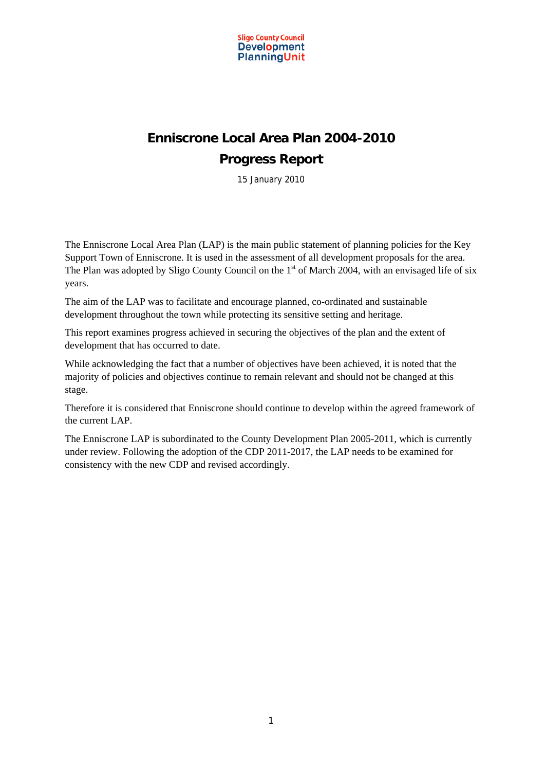

## **Enniscrone Local Area Plan 2004-2010 Progress Report**

15 January 2010

The Enniscrone Local Area Plan (LAP) is the main public statement of planning policies for the Key Support Town of Enniscrone. It is used in the assessment of all development proposals for the area. The Plan was adopted by Sligo County Council on the  $1<sup>st</sup>$  of March 2004, with an envisaged life of six years.

The aim of the LAP was to facilitate and encourage planned, co-ordinated and sustainable development throughout the town while protecting its sensitive setting and heritage.

This report examines progress achieved in securing the objectives of the plan and the extent of development that has occurred to date.

While acknowledging the fact that a number of objectives have been achieved, it is noted that the majority of policies and objectives continue to remain relevant and should not be changed at this stage.

Therefore it is considered that Enniscrone should continue to develop within the agreed framework of the current LAP.

The Enniscrone LAP is subordinated to the County Development Plan 2005-2011, which is currently under review. Following the adoption of the CDP 2011-2017, the LAP needs to be examined for consistency with the new CDP and revised accordingly.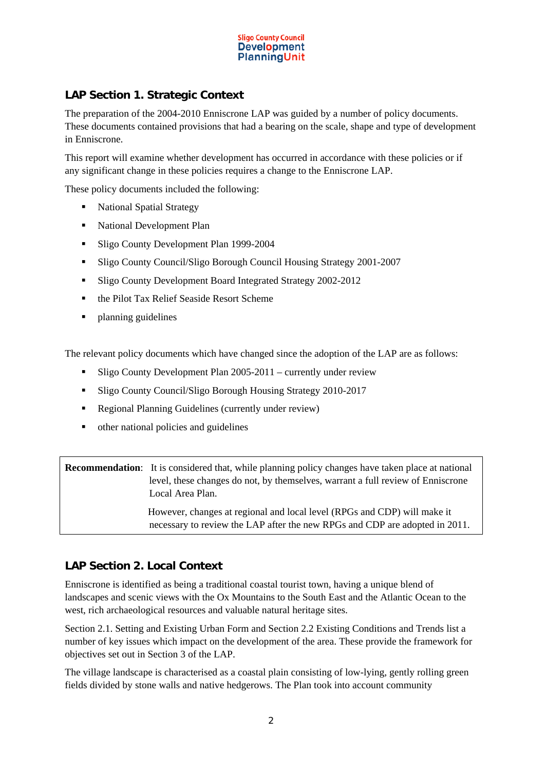

## **LAP Section 1. Strategic Context**

The preparation of the 2004-2010 Enniscrone LAP was guided by a number of policy documents. These documents contained provisions that had a bearing on the scale, shape and type of development in Enniscrone.

This report will examine whether development has occurred in accordance with these policies or if any significant change in these policies requires a change to the Enniscrone LAP.

These policy documents included the following:

- National Spatial Strategy
- National Development Plan
- Sligo County Development Plan 1999-2004
- Sligo County Council/Sligo Borough Council Housing Strategy 2001-2007
- Sligo County Development Board Integrated Strategy 2002-2012
- the Pilot Tax Relief Seaside Resort Scheme
- planning guidelines

The relevant policy documents which have changed since the adoption of the LAP are as follows:

- Sligo County Development Plan 2005-2011 currently under review
- Sligo County Council/Sligo Borough Housing Strategy 2010-2017
- Regional Planning Guidelines (currently under review)
- other national policies and guidelines

**Recommendation**: It is considered that, while planning policy changes have taken place at national level, these changes do not, by themselves, warrant a full review of Enniscrone Local Area Plan.

> However, changes at regional and local level (RPGs and CDP) will make it necessary to review the LAP after the new RPGs and CDP are adopted in 2011.

## **LAP Section 2. Local Context**

Enniscrone is identified as being a traditional coastal tourist town, having a unique blend of landscapes and scenic views with the Ox Mountains to the South East and the Atlantic Ocean to the west, rich archaeological resources and valuable natural heritage sites.

Section 2.1. Setting and Existing Urban Form and Section 2.2 Existing Conditions and Trends list a number of key issues which impact on the development of the area. These provide the framework for objectives set out in Section 3 of the LAP.

The village landscape is characterised as a coastal plain consisting of low-lying, gently rolling green fields divided by stone walls and native hedgerows. The Plan took into account community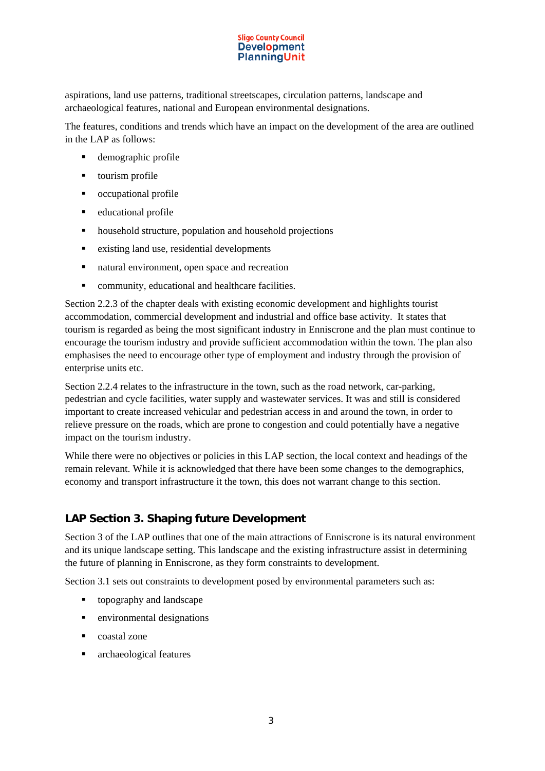aspirations, land use patterns, traditional streetscapes, circulation patterns, landscape and archaeological features, national and European environmental designations.

The features, conditions and trends which have an impact on the development of the area are outlined in the LAP as follows:

- **demographic profile**
- **•** tourism profile
- occupational profile
- **e** educational profile
- household structure, population and household projections
- existing land use, residential developments
- natural environment, open space and recreation
- community, educational and healthcare facilities.

Section 2.2.3 of the chapter deals with existing economic development and highlights tourist accommodation, commercial development and industrial and office base activity. It states that tourism is regarded as being the most significant industry in Enniscrone and the plan must continue to encourage the tourism industry and provide sufficient accommodation within the town. The plan also emphasises the need to encourage other type of employment and industry through the provision of enterprise units etc.

Section 2.2.4 relates to the infrastructure in the town, such as the road network, car-parking, pedestrian and cycle facilities, water supply and wastewater services. It was and still is considered important to create increased vehicular and pedestrian access in and around the town, in order to relieve pressure on the roads, which are prone to congestion and could potentially have a negative impact on the tourism industry.

While there were no objectives or policies in this LAP section, the local context and headings of the remain relevant. While it is acknowledged that there have been some changes to the demographics, economy and transport infrastructure it the town, this does not warrant change to this section.

## **LAP Section 3. Shaping future Development**

Section 3 of the LAP outlines that one of the main attractions of Enniscrone is its natural environment and its unique landscape setting. This landscape and the existing infrastructure assist in determining the future of planning in Enniscrone, as they form constraints to development.

Section 3.1 sets out constraints to development posed by environmental parameters such as:

- topography and landscape
- **EXECUTE:** environmental designations
- **coastal zone**
- **a** archaeological features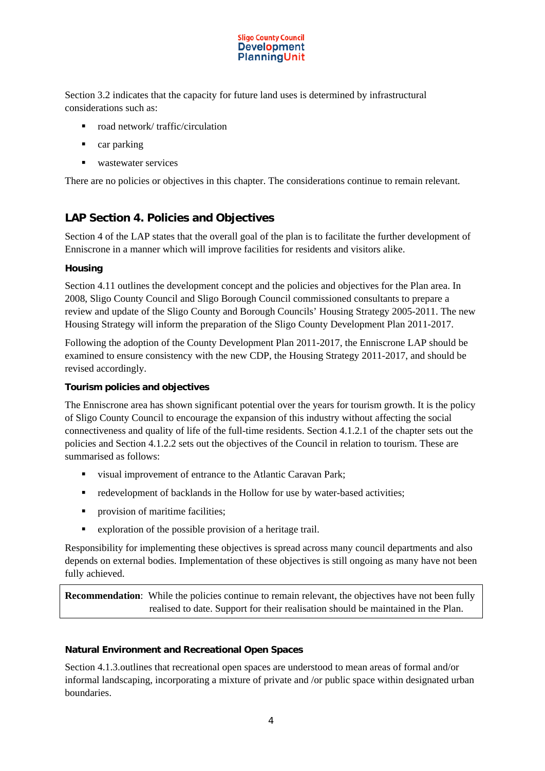

Section 3.2 indicates that the capacity for future land uses is determined by infrastructural considerations such as:

- road network/ traffic/circulation
- car parking
- wastewater services

There are no policies or objectives in this chapter. The considerations continue to remain relevant.

## **LAP Section 4. Policies and Objectives**

Section 4 of the LAP states that the overall goal of the plan is to facilitate the further development of Enniscrone in a manner which will improve facilities for residents and visitors alike.

#### **Housing**

Section 4.11 outlines the development concept and the policies and objectives for the Plan area. In 2008, Sligo County Council and Sligo Borough Council commissioned consultants to prepare a review and update of the Sligo County and Borough Councils' Housing Strategy 2005-2011. The new Housing Strategy will inform the preparation of the Sligo County Development Plan 2011-2017.

Following the adoption of the County Development Plan 2011-2017, the Enniscrone LAP should be examined to ensure consistency with the new CDP, the Housing Strategy 2011-2017, and should be revised accordingly.

#### **Tourism policies and objectives**

The Enniscrone area has shown significant potential over the years for tourism growth. It is the policy of Sligo County Council to encourage the expansion of this industry without affecting the social connectiveness and quality of life of the full-time residents. Section 4.1.2.1 of the chapter sets out the policies and Section 4.1.2.2 sets out the objectives of the Council in relation to tourism. These are summarised as follows:

- visual improvement of entrance to the Atlantic Caravan Park;
- **redevelopment of backlands in the Hollow for use by water-based activities;**
- provision of maritime facilities;
- exploration of the possible provision of a heritage trail.

Responsibility for implementing these objectives is spread across many council departments and also depends on external bodies. Implementation of these objectives is still ongoing as many have not been fully achieved.

**Recommendation**: While the policies continue to remain relevant, the objectives have not been fully realised to date. Support for their realisation should be maintained in the Plan.

#### **Natural Environment and Recreational Open Spaces**

Section 4.1.3.outlines that recreational open spaces are understood to mean areas of formal and/or informal landscaping, incorporating a mixture of private and /or public space within designated urban boundaries.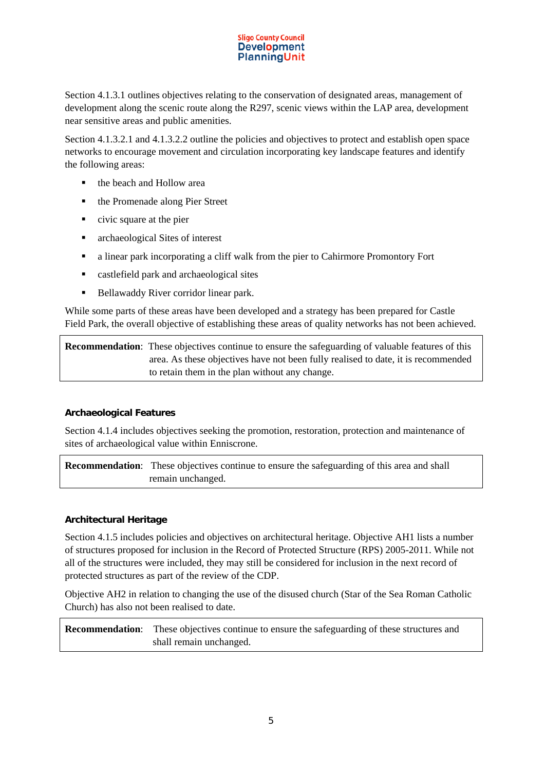Section 4.1.3.1 outlines objectives relating to the conservation of designated areas, management of development along the scenic route along the R297, scenic views within the LAP area, development near sensitive areas and public amenities.

Section 4.1.3.2.1 and 4.1.3.2.2 outline the policies and objectives to protect and establish open space networks to encourage movement and circulation incorporating key landscape features and identify the following areas:

- the beach and Hollow area
- the Promenade along Pier Street
- civic square at the pier
- archaeological Sites of interest
- a linear park incorporating a cliff walk from the pier to Cahirmore Promontory Fort
- castlefield park and archaeological sites
- Bellawaddy River corridor linear park.

While some parts of these areas have been developed and a strategy has been prepared for Castle Field Park, the overall objective of establishing these areas of quality networks has not been achieved.

**Recommendation**: These objectives continue to ensure the safeguarding of valuable features of this area. As these objectives have not been fully realised to date, it is recommended to retain them in the plan without any change.

## **Archaeological Features**

Section 4.1.4 includes objectives seeking the promotion, restoration, protection and maintenance of sites of archaeological value within Enniscrone.

**Recommendation:** These objectives continue to ensure the safeguarding of this area and shall remain unchanged.

#### **Architectural Heritage**

Section 4.1.5 includes policies and objectives on architectural heritage. Objective AH1 lists a number of structures proposed for inclusion in the Record of Protected Structure (RPS) 2005-2011. While not all of the structures were included, they may still be considered for inclusion in the next record of protected structures as part of the review of the CDP.

Objective AH2 in relation to changing the use of the disused church (Star of the Sea Roman Catholic Church) has also not been realised to date.

**Recommendation**: These objectives continue to ensure the safeguarding of these structures and shall remain unchanged.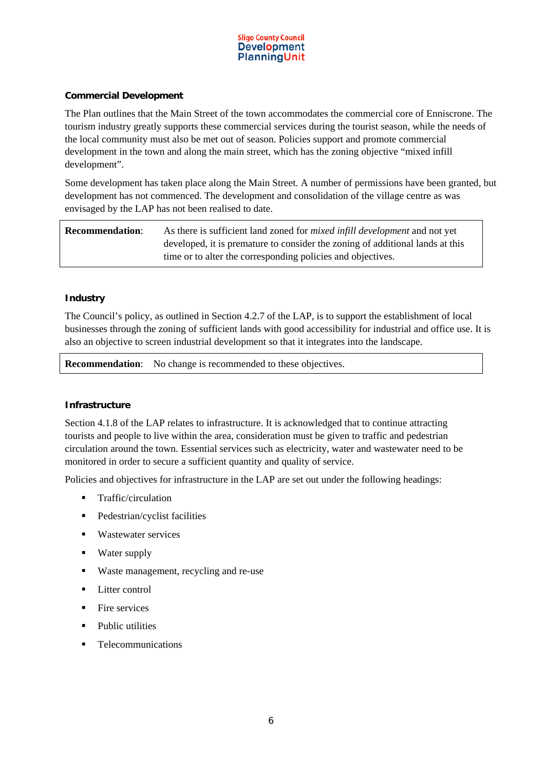

#### **Commercial Development**

The Plan outlines that the Main Street of the town accommodates the commercial core of Enniscrone. The tourism industry greatly supports these commercial services during the tourist season, while the needs of the local community must also be met out of season. Policies support and promote commercial development in the town and along the main street, which has the zoning objective "mixed infill development".

Some development has taken place along the Main Street. A number of permissions have been granted, but development has not commenced. The development and consolidation of the village centre as was envisaged by the LAP has not been realised to date.

| <b>Recommendation:</b> | As there is sufficient land zoned for <i>mixed infill development</i> and not yet |
|------------------------|-----------------------------------------------------------------------------------|
|                        | developed, it is premature to consider the zoning of additional lands at this     |
|                        | time or to alter the corresponding policies and objectives.                       |

#### **Industry**

The Council's policy, as outlined in Section 4.2.7 of the LAP, is to support the establishment of local businesses through the zoning of sufficient lands with good accessibility for industrial and office use. It is also an objective to screen industrial development so that it integrates into the landscape.

**Recommendation:** No change is recommended to these objectives.

#### **Infrastructure**

Section 4.1.8 of the LAP relates to infrastructure. It is acknowledged that to continue attracting tourists and people to live within the area, consideration must be given to traffic and pedestrian circulation around the town. Essential services such as electricity, water and wastewater need to be monitored in order to secure a sufficient quantity and quality of service.

Policies and objectives for infrastructure in the LAP are set out under the following headings:

- **Traffic/circulation**
- Pedestrian/cyclist facilities
- **Wastewater services**
- Water supply
- Waste management, recycling and re-use
- **Litter control**
- $\blacksquare$  Fire services
- Public utilities
- **Telecommunications**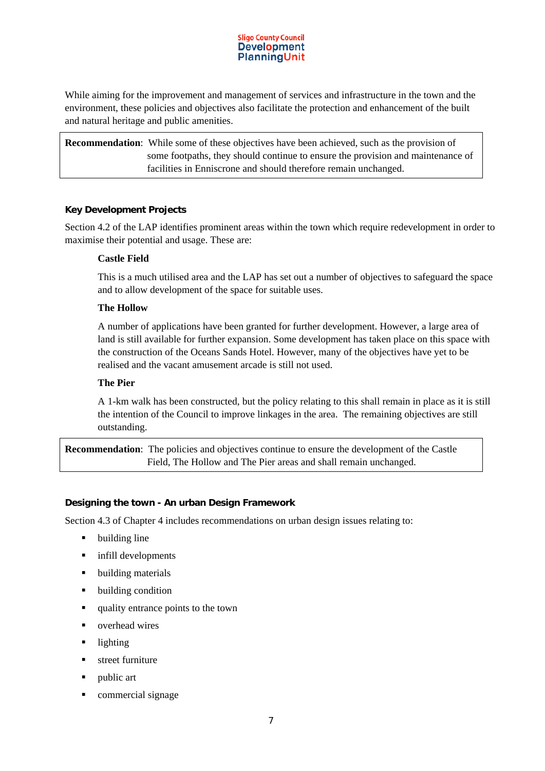While aiming for the improvement and management of services and infrastructure in the town and the environment, these policies and objectives also facilitate the protection and enhancement of the built and natural heritage and public amenities.

**Recommendation**: While some of these objectives have been achieved, such as the provision of some footpaths, they should continue to ensure the provision and maintenance of facilities in Enniscrone and should therefore remain unchanged.

#### **Key Development Projects**

Section 4.2 of the LAP identifies prominent areas within the town which require redevelopment in order to maximise their potential and usage. These are:

#### **Castle Field**

This is a much utilised area and the LAP has set out a number of objectives to safeguard the space and to allow development of the space for suitable uses.

#### **The Hollow**

A number of applications have been granted for further development. However, a large area of land is still available for further expansion. Some development has taken place on this space with the construction of the Oceans Sands Hotel. However, many of the objectives have yet to be realised and the vacant amusement arcade is still not used.

#### **The Pier**

A 1-km walk has been constructed, but the policy relating to this shall remain in place as it is still the intention of the Council to improve linkages in the area. The remaining objectives are still outstanding.

**Recommendation**: The policies and objectives continue to ensure the development of the Castle Field, The Hollow and The Pier areas and shall remain unchanged.

#### **Designing the town - An urban Design Framework**

Section 4.3 of Chapter 4 includes recommendations on urban design issues relating to:

- **•** building line
- $\blacksquare$  infill developments
- **•** building materials
- building condition
- quality entrance points to the town
- overhead wires
- **-** lighting
- **street furniture**
- public art
- **•** commercial signage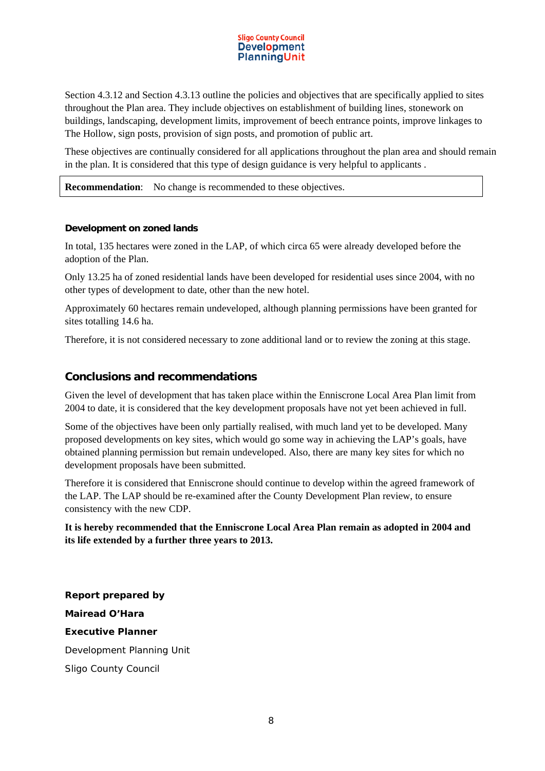Section 4.3.12 and Section 4.3.13 outline the policies and objectives that are specifically applied to sites throughout the Plan area. They include objectives on establishment of building lines, stonework on buildings, landscaping, development limits, improvement of beech entrance points, improve linkages to The Hollow, sign posts, provision of sign posts, and promotion of public art.

These objectives are continually considered for all applications throughout the plan area and should remain in the plan. It is considered that this type of design guidance is very helpful to applicants .

**Recommendation:** No change is recommended to these objectives.

#### **Development on zoned lands**

In total, 135 hectares were zoned in the LAP, of which circa 65 were already developed before the adoption of the Plan.

Only 13.25 ha of zoned residential lands have been developed for residential uses since 2004, with no other types of development to date, other than the new hotel.

Approximately 60 hectares remain undeveloped, although planning permissions have been granted for sites totalling 14.6 ha.

Therefore, it is not considered necessary to zone additional land or to review the zoning at this stage.

## **Conclusions and recommendations**

Given the level of development that has taken place within the Enniscrone Local Area Plan limit from 2004 to date, it is considered that the key development proposals have not yet been achieved in full.

Some of the objectives have been only partially realised, with much land yet to be developed. Many proposed developments on key sites, which would go some way in achieving the LAP's goals, have obtained planning permission but remain undeveloped. Also, there are many key sites for which no development proposals have been submitted.

Therefore it is considered that Enniscrone should continue to develop within the agreed framework of the LAP. The LAP should be re-examined after the County Development Plan review, to ensure consistency with the new CDP.

#### **It is hereby recommended that the Enniscrone Local Area Plan remain as adopted in 2004 and its life extended by a further three years to 2013.**

**Report prepared by Mairead O'Hara Executive Planner**  Development Planning Unit Sligo County Council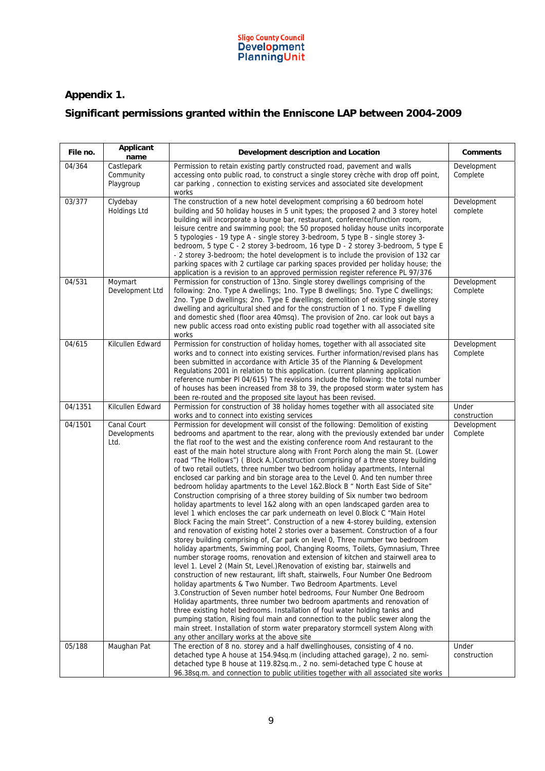

## **Appendix 1.**

## **Significant permissions granted within the Enniscone LAP between 2004-2009**

| File no. | Applicant<br>name                    | Development description and Location                                                                                                                                                                                                                                                                                                                                                                                                                                                                                                                                                                                                                                                                                                                                                                                                                                                                                                                                                                                                                                                                                                                                                                                                                                                                                                                                                                                                                                                                                                                                                                                                                                                                                                                                                                                                                                                                                                                                                                                                                                     | Comments                |
|----------|--------------------------------------|--------------------------------------------------------------------------------------------------------------------------------------------------------------------------------------------------------------------------------------------------------------------------------------------------------------------------------------------------------------------------------------------------------------------------------------------------------------------------------------------------------------------------------------------------------------------------------------------------------------------------------------------------------------------------------------------------------------------------------------------------------------------------------------------------------------------------------------------------------------------------------------------------------------------------------------------------------------------------------------------------------------------------------------------------------------------------------------------------------------------------------------------------------------------------------------------------------------------------------------------------------------------------------------------------------------------------------------------------------------------------------------------------------------------------------------------------------------------------------------------------------------------------------------------------------------------------------------------------------------------------------------------------------------------------------------------------------------------------------------------------------------------------------------------------------------------------------------------------------------------------------------------------------------------------------------------------------------------------------------------------------------------------------------------------------------------------|-------------------------|
| 04/364   | Castlepark<br>Community<br>Playgroup | Permission to retain existing partly constructed road, pavement and walls<br>accessing onto public road, to construct a single storey crèche with drop off point,<br>car parking, connection to existing services and associated site development<br>works                                                                                                                                                                                                                                                                                                                                                                                                                                                                                                                                                                                                                                                                                                                                                                                                                                                                                                                                                                                                                                                                                                                                                                                                                                                                                                                                                                                                                                                                                                                                                                                                                                                                                                                                                                                                               | Development<br>Complete |
| 03/377   | Clydebay<br><b>Holdings Ltd</b>      | The construction of a new hotel development comprising a 60 bedroom hotel<br>building and 50 holiday houses in 5 unit types; the proposed 2 and 3 storey hotel<br>building will incorporate a lounge bar, restaurant, conference/function room,<br>leisure centre and swimming pool; the 50 proposed holiday house units incorporate<br>5 typologies - 19 type A - single storey 3-bedroom, 5 type B - single storey 3-<br>bedroom, 5 type C - 2 storey 3-bedroom, 16 type D - 2 storey 3-bedroom, 5 type E<br>- 2 storey 3-bedroom; the hotel development is to include the provision of 132 car<br>parking spaces with 2 curtilage car parking spaces provided per holiday house; the<br>application is a revision to an approved permission register reference PL 97/376                                                                                                                                                                                                                                                                                                                                                                                                                                                                                                                                                                                                                                                                                                                                                                                                                                                                                                                                                                                                                                                                                                                                                                                                                                                                                              | Development<br>complete |
| 04/531   | Moymart<br>Development Ltd           | Permission for construction of 13no. Single storey dwellings comprising of the<br>following: 2no. Type A dwellings; 1no. Type B dwellings; 5no. Type C dwellings;<br>2no. Type D dwellings; 2no. Type E dwellings; demolition of existing single storey<br>dwelling and agricultural shed and for the construction of 1 no. Type F dwelling<br>and domestic shed (floor area 40msq). The provision of 2no. car look out bays a<br>new public access road onto existing public road together with all associated site<br>works                                                                                                                                                                                                                                                                                                                                                                                                                                                                                                                                                                                                                                                                                                                                                                                                                                                                                                                                                                                                                                                                                                                                                                                                                                                                                                                                                                                                                                                                                                                                            | Development<br>Complete |
| 04/615   | Kilcullen Edward                     | Permission for construction of holiday homes, together with all associated site<br>works and to connect into existing services. Further information/revised plans has<br>been submitted in accordance with Article 35 of the Planning & Development<br>Regulations 2001 in relation to this application. (current planning application<br>reference number PI 04/615) The revisions include the following: the total number<br>of houses has been increased from 38 to 39, the proposed storm water system has<br>been re-routed and the proposed site layout has been revised.                                                                                                                                                                                                                                                                                                                                                                                                                                                                                                                                                                                                                                                                                                                                                                                                                                                                                                                                                                                                                                                                                                                                                                                                                                                                                                                                                                                                                                                                                          | Development<br>Complete |
| 04/1351  | Kilcullen Edward                     | Permission for construction of 38 holiday homes together with all associated site<br>works and to connect into existing services                                                                                                                                                                                                                                                                                                                                                                                                                                                                                                                                                                                                                                                                                                                                                                                                                                                                                                                                                                                                                                                                                                                                                                                                                                                                                                                                                                                                                                                                                                                                                                                                                                                                                                                                                                                                                                                                                                                                         | Under<br>construction   |
| 04/1501  | Canal Court<br>Developments<br>Ltd.  | Permission for development will consist of the following: Demolition of existing<br>bedrooms and apartment to the rear, along with the previously extended bar under<br>the flat roof to the west and the existing conference room And restaurant to the<br>east of the main hotel structure along with Front Porch along the main St. (Lower<br>road "The Hollows") (Block A.)Construction comprising of a three storey building<br>of two retail outlets, three number two bedroom holiday apartments, Internal<br>enclosed car parking and bin storage area to the Level 0. And ten number three<br>bedroom holiday apartments to the Level 1&2. Block B " North East Side of Site"<br>Construction comprising of a three storey building of Six number two bedroom<br>holiday apartments to level 1&2 along with an open landscaped garden area to<br>level 1 which encloses the car park underneath on level 0. Block C "Main Hotel<br>Block Facing the main Street". Construction of a new 4-storey building, extension<br>and renovation of existing hotel 2 stories over a basement. Construction of a four<br>storey building comprising of, Car park on level 0, Three number two bedroom<br>holiday apartments, Swimming pool, Changing Rooms, Toilets, Gymnasium, Three<br>number storage rooms, renovation and extension of kitchen and stairwell area to<br>level 1. Level 2 (Main St, Level.) Renovation of existing bar, stairwells and<br>construction of new restaurant, lift shaft, stairwells, Four Number One Bedroom<br>holiday apartments & Two Number. Two Bedroom Apartments. Level<br>3. Construction of Seven number hotel bedrooms, Four Number One Bedroom<br>Holiday apartments, three number two bedroom apartments and renovation of<br>three existing hotel bedrooms. Installation of foul water holding tanks and<br>pumping station, Rising foul main and connection to the public sewer along the<br>main street. Installation of storm water preparatory stormcell system Along with<br>any other ancillary works at the above site | Development<br>Complete |
| 05/188   | Maughan Pat                          | The erection of 8 no. storey and a half dwellinghouses, consisting of 4 no.<br>detached type A house at 154.94sq.m (including attached garage), 2 no. semi-<br>detached type B house at 119.82sq.m., 2 no. semi-detached type C house at<br>96.38sq.m. and connection to public utilities together with all associated site works                                                                                                                                                                                                                                                                                                                                                                                                                                                                                                                                                                                                                                                                                                                                                                                                                                                                                                                                                                                                                                                                                                                                                                                                                                                                                                                                                                                                                                                                                                                                                                                                                                                                                                                                        | Under<br>construction   |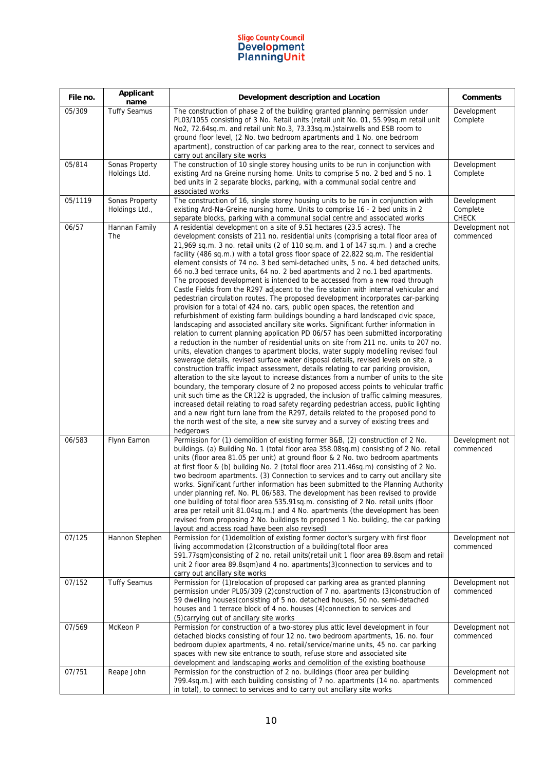| File no. | Applicant<br>name                | Development description and Location                                                                                                                                                                                                                                                                                                                                                                                                                                                                                                                                                                                                                                                                                                                                                                                                                                                                                                                                                                                                                                                                                                                                                                                                                                                                                                                                                                                                                                                                                                                                                                                                                                                                                                                                                                                                                                                                                                                                                                                                       | <b>Comments</b>                         |
|----------|----------------------------------|--------------------------------------------------------------------------------------------------------------------------------------------------------------------------------------------------------------------------------------------------------------------------------------------------------------------------------------------------------------------------------------------------------------------------------------------------------------------------------------------------------------------------------------------------------------------------------------------------------------------------------------------------------------------------------------------------------------------------------------------------------------------------------------------------------------------------------------------------------------------------------------------------------------------------------------------------------------------------------------------------------------------------------------------------------------------------------------------------------------------------------------------------------------------------------------------------------------------------------------------------------------------------------------------------------------------------------------------------------------------------------------------------------------------------------------------------------------------------------------------------------------------------------------------------------------------------------------------------------------------------------------------------------------------------------------------------------------------------------------------------------------------------------------------------------------------------------------------------------------------------------------------------------------------------------------------------------------------------------------------------------------------------------------------|-----------------------------------------|
| 05/309   | <b>Tuffy Seamus</b>              | The construction of phase 2 of the building granted planning permission under<br>PL03/1055 consisting of 3 No. Retail units (retail unit No. 01, 55.99sq.m retail unit<br>No2, 72.64sq.m. and retail unit No.3, 73.33sq.m.) stairwells and ESB room to<br>ground floor level, (2 No. two bedroom apartments and 1 No. one bedroom<br>apartment), construction of car parking area to the rear, connect to services and<br>carry out ancillary site works                                                                                                                                                                                                                                                                                                                                                                                                                                                                                                                                                                                                                                                                                                                                                                                                                                                                                                                                                                                                                                                                                                                                                                                                                                                                                                                                                                                                                                                                                                                                                                                   | Development<br>Complete                 |
| 05/814   | Sonas Property<br>Holdings Ltd.  | The construction of 10 single storey housing units to be run in conjunction with<br>existing Ard na Greine nursing home. Units to comprise 5 no. 2 bed and 5 no. 1<br>bed units in 2 separate blocks, parking, with a communal social centre and<br>associated works                                                                                                                                                                                                                                                                                                                                                                                                                                                                                                                                                                                                                                                                                                                                                                                                                                                                                                                                                                                                                                                                                                                                                                                                                                                                                                                                                                                                                                                                                                                                                                                                                                                                                                                                                                       | Development<br>Complete                 |
| 05/1119  | Sonas Property<br>Holdings Ltd., | The construction of 16, single storey housing units to be run in conjunction with<br>existing Ard-Na-Greine nursing home. Units to comprise 16 - 2 bed units in 2<br>separate blocks, parking with a communal social centre and associated works                                                                                                                                                                                                                                                                                                                                                                                                                                                                                                                                                                                                                                                                                                                                                                                                                                                                                                                                                                                                                                                                                                                                                                                                                                                                                                                                                                                                                                                                                                                                                                                                                                                                                                                                                                                           | Development<br>Complete<br><b>CHECK</b> |
| 06/57    | Hannan Family<br>The             | A residential development on a site of 9.51 hectares (23.5 acres). The<br>development consists of 211 no. residential units (comprising a total floor area of<br>21,969 sq.m. 3 no. retail units (2 of 110 sq.m. and 1 of 147 sq.m.) and a creche<br>facility (486 sq.m.) with a total gross floor space of 22,822 sq.m. The residential<br>element consists of 74 no. 3 bed semi-detached units, 5 no. 4 bed detached units,<br>66 no.3 bed terrace units, 64 no. 2 bed apartments and 2 no.1 bed apartments.<br>The proposed development is intended to be accessed from a new road through<br>Castle Fields from the R297 adjacent to the fire station with internal vehicular and<br>pedestrian circulation routes. The proposed development incorporates car-parking<br>provision for a total of 424 no. cars, public open spaces, the retention and<br>refurbishment of existing farm buildings bounding a hard landscaped civic space,<br>landscaping and associated ancillary site works. Significant further information in<br>relation to current planning application PD 06/57 has been submitted incorporating<br>a reduction in the number of residential units on site from 211 no. units to 207 no.<br>units, elevation changes to apartment blocks, water supply modelling revised foul<br>sewerage details, revised surface water disposal details, revised levels on site, a<br>construction traffic impact assessment, details relating to car parking provision,<br>alteration to the site layout to increase distances from a number of units to the site<br>boundary, the temporary closure of 2 no proposed access points to vehicular traffic<br>unit such time as the CR122 is upgraded, the inclusion of traffic calming measures,<br>increased detail relating to road safety regarding pedestrian access, public lighting<br>and a new right turn lane from the R297, details related to the proposed pond to<br>the north west of the site, a new site survey and a survey of existing trees and<br>hedgerows | Development not<br>commenced            |
| 06/583   | Flynn Eamon                      | Permission for (1) demolition of existing former B&B, (2) construction of 2 No.<br>buildings. (a) Building No. 1 (total floor area 358.08sq.m) consisting of 2 No. retail<br>units (floor area 81.05 per unit) at ground floor & 2 No. two bedroom apartments<br>at first floor & (b) building No. 2 (total floor area 211.46sq.m) consisting of 2 No.<br>two bedroom apartments. (3) Connection to services and to carry out ancillary site<br>works. Significant further information has been submitted to the Planning Authority<br>under planning ref. No. PL 06/583. The development has been revised to provide<br>one building of total floor area 535.91sq.m. consisting of 2 No. retail units (floor<br>area per retail unit 81.04sq.m.) and 4 No. apartments (the development has been<br>revised from proposing 2 No. buildings to proposed 1 No. building, the car parking<br>layout and access road have been also revised)                                                                                                                                                                                                                                                                                                                                                                                                                                                                                                                                                                                                                                                                                                                                                                                                                                                                                                                                                                                                                                                                                                   | Development not<br>commenced            |
| 07/125   | Hannon Stephen                   | Permission for (1) demolition of existing former doctor's surgery with first floor<br>living accommodation (2)construction of a building (total floor area<br>591.77sqm)consisting of 2 no. retail units (retail unit 1 floor area 89.8sqm and retail<br>unit 2 floor area 89.8sqm) and 4 no. apartments(3) connection to services and to<br>carry out ancillary site works                                                                                                                                                                                                                                                                                                                                                                                                                                                                                                                                                                                                                                                                                                                                                                                                                                                                                                                                                                                                                                                                                                                                                                                                                                                                                                                                                                                                                                                                                                                                                                                                                                                                | Development not<br>commenced            |
| 07/152   | Tuffy Seamus                     | Permission for (1) relocation of proposed car parking area as granted planning<br>permission under PL05/309 (2)construction of 7 no. apartments (3)construction of<br>59 dwelling houses(consisting of 5 no. detached houses, 50 no. semi-detached<br>houses and 1 terrace block of 4 no. houses (4) connection to services and<br>(5) carrying out of ancillary site works                                                                                                                                                                                                                                                                                                                                                                                                                                                                                                                                                                                                                                                                                                                                                                                                                                                                                                                                                                                                                                                                                                                                                                                                                                                                                                                                                                                                                                                                                                                                                                                                                                                                | Development not<br>commenced            |
| 07/569   | McKeon P                         | Permission for construction of a two-storey plus attic level development in four<br>detached blocks consisting of four 12 no. two bedroom apartments, 16. no. four<br>bedroom duplex apartments, 4 no. retail/service/marine units, 45 no. car parking<br>spaces with new site entrance to south, refuse store and associated site<br>development and landscaping works and demolition of the existing boathouse                                                                                                                                                                                                                                                                                                                                                                                                                                                                                                                                                                                                                                                                                                                                                                                                                                                                                                                                                                                                                                                                                                                                                                                                                                                                                                                                                                                                                                                                                                                                                                                                                           | Development not<br>commenced            |
| 07/751   | Reape John                       | Permission for the construction of 2 no. buildings (floor area per building<br>799.4sq.m.) with each building consisting of 7 no. apartments (14 no. apartments<br>in total), to connect to services and to carry out ancillary site works                                                                                                                                                                                                                                                                                                                                                                                                                                                                                                                                                                                                                                                                                                                                                                                                                                                                                                                                                                                                                                                                                                                                                                                                                                                                                                                                                                                                                                                                                                                                                                                                                                                                                                                                                                                                 | Development not<br>commenced            |